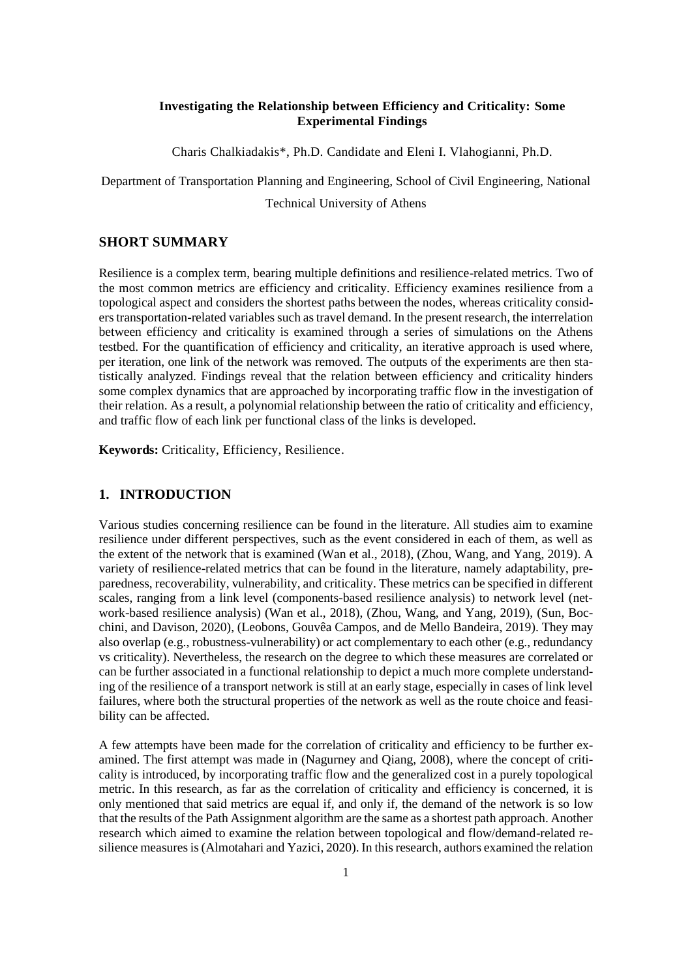#### **Investigating the Relationship between Efficiency and Criticality: Some Experimental Findings**

Charis Chalkiadakis\*, Ph.D. Candidate and Eleni I. Vlahogianni, Ph.D.

Department of Transportation Planning and Engineering, School of Civil Engineering, National Technical University of Athens

### **SHORT SUMMARY**

Resilience is a complex term, bearing multiple definitions and resilience-related metrics. Two of the most common metrics are efficiency and criticality. Efficiency examines resilience from a topological aspect and considers the shortest paths between the nodes, whereas criticality considers transportation-related variables such as travel demand. In the present research, the interrelation between efficiency and criticality is examined through a series of simulations on the Athens testbed. For the quantification of efficiency and criticality, an iterative approach is used where, per iteration, one link of the network was removed. The outputs of the experiments are then statistically analyzed. Findings reveal that the relation between efficiency and criticality hinders some complex dynamics that are approached by incorporating traffic flow in the investigation of their relation. As a result, a polynomial relationship between the ratio of criticality and efficiency, and traffic flow of each link per functional class of the links is developed.

**Keywords:** Criticality, Efficiency, Resilience.

## **1. INTRODUCTION**

Various studies concerning resilience can be found in the literature. All studies aim to examine resilience under different perspectives, such as the event considered in each of them, as well as the extent of the network that is examined (Wan et al., 2018), (Zhou, Wang, and Yang, 2019). A variety of resilience-related metrics that can be found in the literature, namely adaptability, preparedness, recoverability, vulnerability, and criticality. These metrics can be specified in different scales, ranging from a link level (components-based resilience analysis) to network level (network-based resilience analysis) (Wan et al., 2018), (Zhou, Wang, and Yang, 2019), (Sun, Bocchini, and Davison, 2020), (Leobons, Gouvêa Campos, and de Mello Bandeira, 2019). They may also overlap (e.g., robustness-vulnerability) or act complementary to each other (e.g., redundancy vs criticality). Nevertheless, the research on the degree to which these measures are correlated or can be further associated in a functional relationship to depict a much more complete understanding of the resilience of a transport network is still at an early stage, especially in cases of link level failures, where both the structural properties of the network as well as the route choice and feasibility can be affected.

A few attempts have been made for the correlation of criticality and efficiency to be further examined. The first attempt was made in (Nagurney and Qiang, 2008), where the concept of criticality is introduced, by incorporating traffic flow and the generalized cost in a purely topological metric. In this research, as far as the correlation of criticality and efficiency is concerned, it is only mentioned that said metrics are equal if, and only if, the demand of the network is so low that the results of the Path Assignment algorithm are the same as a shortest path approach. Another research which aimed to examine the relation between topological and flow/demand-related resilience measures is (Almotahari and Yazici, 2020). In this research, authors examined the relation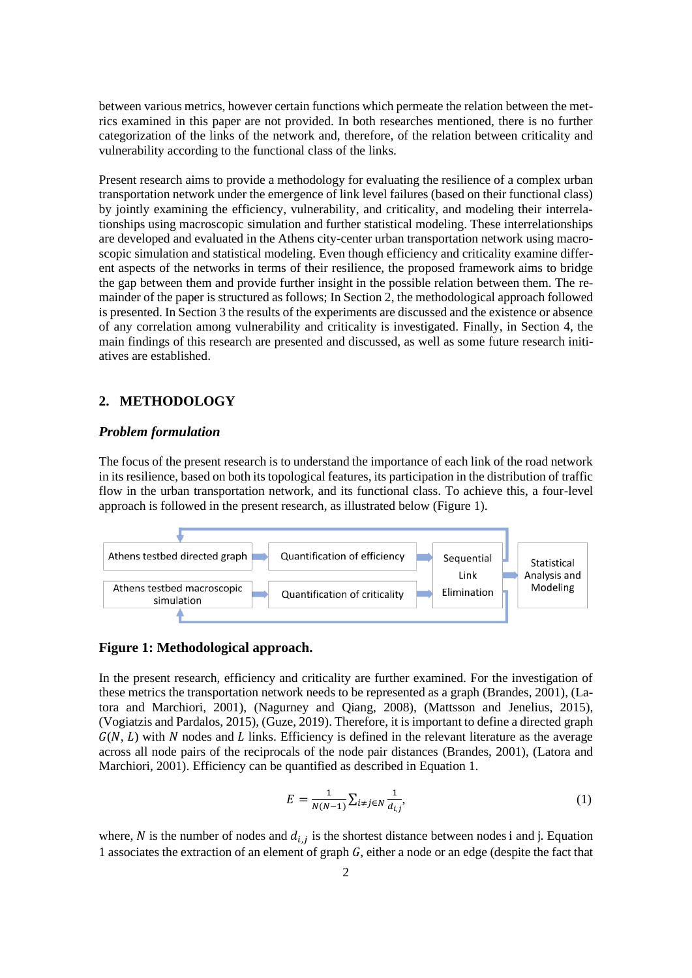between various metrics, however certain functions which permeate the relation between the metrics examined in this paper are not provided. In both researches mentioned, there is no further categorization of the links of the network and, therefore, of the relation between criticality and vulnerability according to the functional class of the links.

Present research aims to provide a methodology for evaluating the resilience of a complex urban transportation network under the emergence of link level failures (based on their functional class) by jointly examining the efficiency, vulnerability, and criticality, and modeling their interrelationships using macroscopic simulation and further statistical modeling. These interrelationships are developed and evaluated in the Athens city-center urban transportation network using macroscopic simulation and statistical modeling. Even though efficiency and criticality examine different aspects of the networks in terms of their resilience, the proposed framework aims to bridge the gap between them and provide further insight in the possible relation between them. The remainder of the paper is structured as follows; In Section 2, the methodological approach followed is presented. In Section 3 the results of the experiments are discussed and the existence or absence of any correlation among vulnerability and criticality is investigated. Finally, in Section 4, the main findings of this research are presented and discussed, as well as some future research initiatives are established.

### **2. METHODOLOGY**

#### *Problem formulation*

The focus of the present research is to understand the importance of each link of the road network in its resilience, based on both its topological features, its participation in the distribution of traffic flow in the urban transportation network, and its functional class. To achieve this, a four-level approach is followed in the present research, as illustrated below (Figure 1).



#### **Figure 1: Methodological approach.**

In the present research, efficiency and criticality are further examined. For the investigation of these metrics the transportation network needs to be represented as a graph (Brandes, 2001), (Latora and Marchiori, 2001), (Nagurney and Qiang, 2008), (Mattsson and Jenelius, 2015), (Vogiatzis and Pardalos, 2015), (Guze, 2019). Therefore, it is important to define a directed graph  $G(N, L)$  with N nodes and L links. Efficiency is defined in the relevant literature as the average across all node pairs of the reciprocals of the node pair distances (Brandes, 2001), (Latora and Marchiori, 2001). Efficiency can be quantified as described in Equation 1.

$$
E = \frac{1}{N(N-1)} \sum_{i \neq j \in N} \frac{1}{d_{i,j}},
$$
 (1)

where, N is the number of nodes and  $d_{i,j}$  is the shortest distance between nodes i and j. Equation 1 associates the extraction of an element of graph  $G$ , either a node or an edge (despite the fact that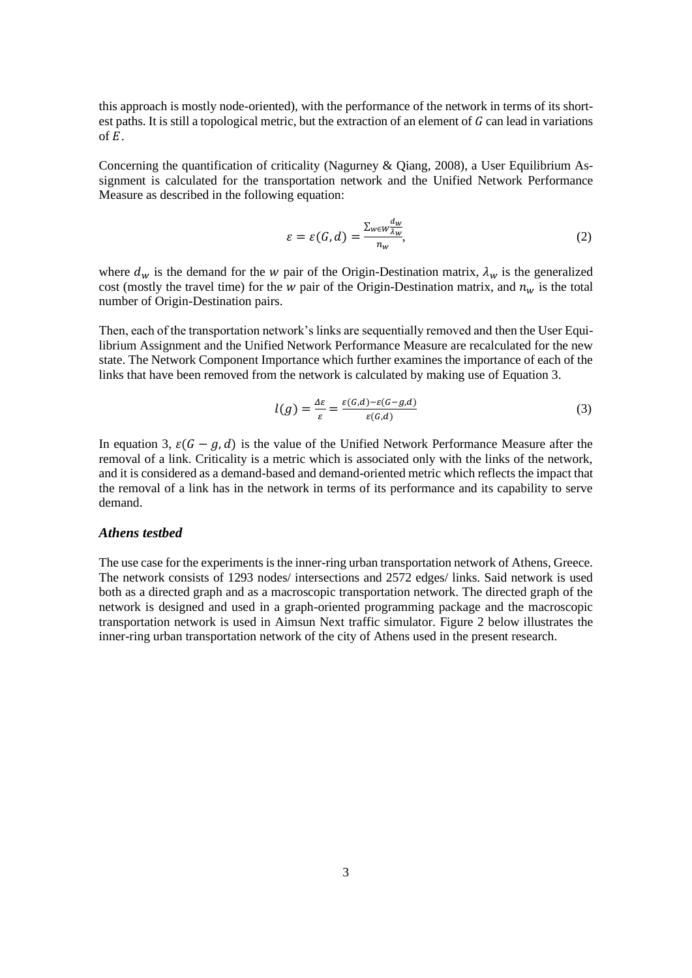this approach is mostly node-oriented), with the performance of the network in terms of its shortest paths. It is still a topological metric, but the extraction of an element of  $G$  can lead in variations of  $E$ .

Concerning the quantification of criticality (Nagurney & Qiang, 2008), a User Equilibrium Assignment is calculated for the transportation network and the Unified Network Performance Measure as described in the following equation:

$$
\varepsilon = \varepsilon(G, d) = \frac{\sum_{w \in W \frac{d_w}{\lambda_w}}}{n_w},\tag{2}
$$

where  $d_w$  is the demand for the w pair of the Origin-Destination matrix,  $\lambda_w$  is the generalized cost (mostly the travel time) for the  $w$  pair of the Origin-Destination matrix, and  $n_w$  is the total number of Origin-Destination pairs.

Then, each of the transportation network's links are sequentially removed and then the User Equilibrium Assignment and the Unified Network Performance Measure are recalculated for the new state. The Network Component Importance which further examines the importance of each of the links that have been removed from the network is calculated by making use of Equation 3.

$$
l(g) = \frac{\Delta \varepsilon}{\varepsilon} = \frac{\varepsilon(G, d) - \varepsilon(G - g, d)}{\varepsilon(G, d)}
$$
(3)

In equation 3,  $\varepsilon(G - g, d)$  is the value of the Unified Network Performance Measure after the removal of a link. Criticality is a metric which is associated only with the links of the network, and it is considered as a demand-based and demand-oriented metric which reflects the impact that the removal of a link has in the network in terms of its performance and its capability to serve demand.

#### *Athens testbed*

The use case for the experiments is the inner-ring urban transportation network of Athens, Greece. The network consists of 1293 nodes/ intersections and 2572 edges/ links. Said network is used both as a directed graph and as a macroscopic transportation network. The directed graph of the network is designed and used in a graph-oriented programming package and the macroscopic transportation network is used in Aimsun Next traffic simulator. Figure 2 below illustrates the inner-ring urban transportation network of the city of Athens used in the present research.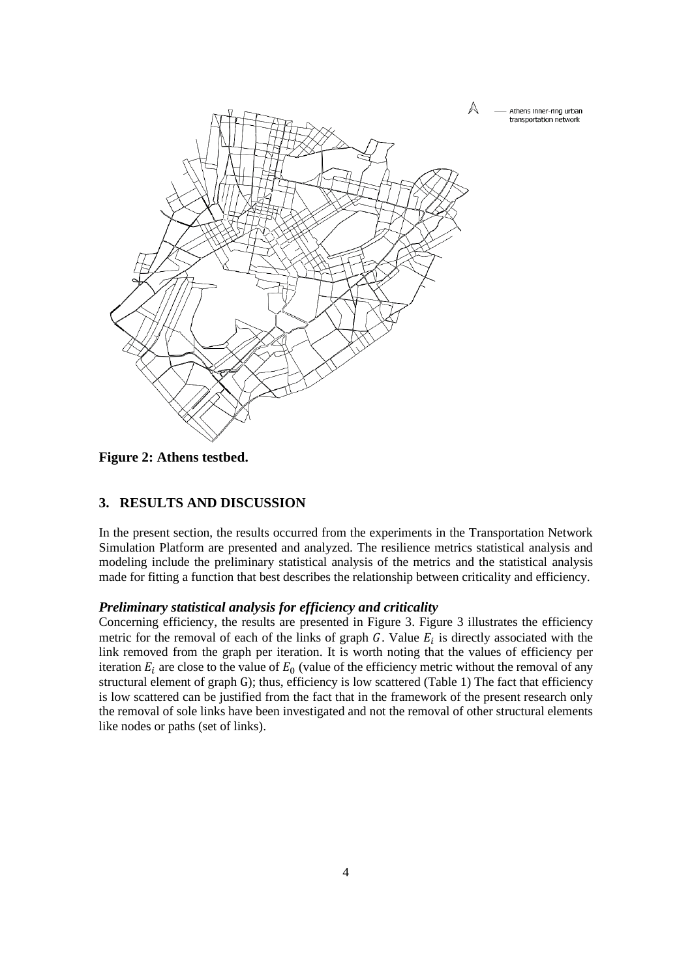

**Figure 2: Athens testbed.**

# **3. RESULTS AND DISCUSSION**

In the present section, the results occurred from the experiments in the Transportation Network Simulation Platform are presented and analyzed. The resilience metrics statistical analysis and modeling include the preliminary statistical analysis of the metrics and the statistical analysis made for fitting a function that best describes the relationship between criticality and efficiency.

#### *Preliminary statistical analysis for efficiency and criticality*

Concerning efficiency, the results are presented in Figure 3. Figure 3 illustrates the efficiency metric for the removal of each of the links of graph  $G$ . Value  $E_i$  is directly associated with the link removed from the graph per iteration. It is worth noting that the values of efficiency per iteration  $E_i$  are close to the value of  $E_0$  (value of the efficiency metric without the removal of any structural element of graph G); thus, efficiency is low scattered (Table 1) The fact that efficiency is low scattered can be justified from the fact that in the framework of the present research only the removal of sole links have been investigated and not the removal of other structural elements like nodes or paths (set of links).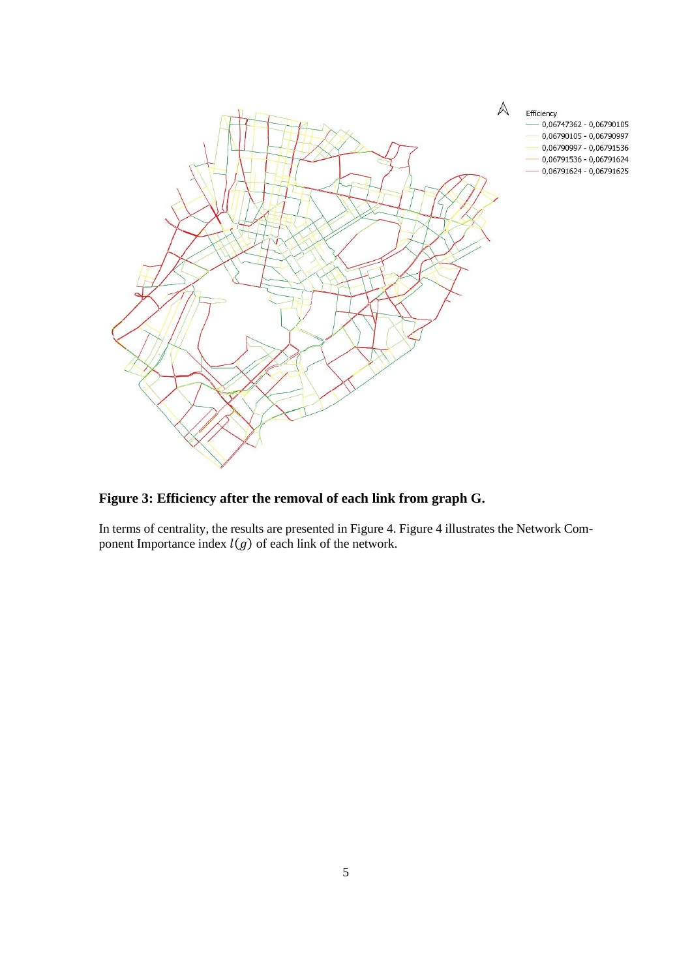

**Figure 3: Efficiency after the removal of each link from graph G.**

In terms of centrality, the results are presented in Figure 4. Figure 4 illustrates the Network Component Importance index  $l(g)$  of each link of the network.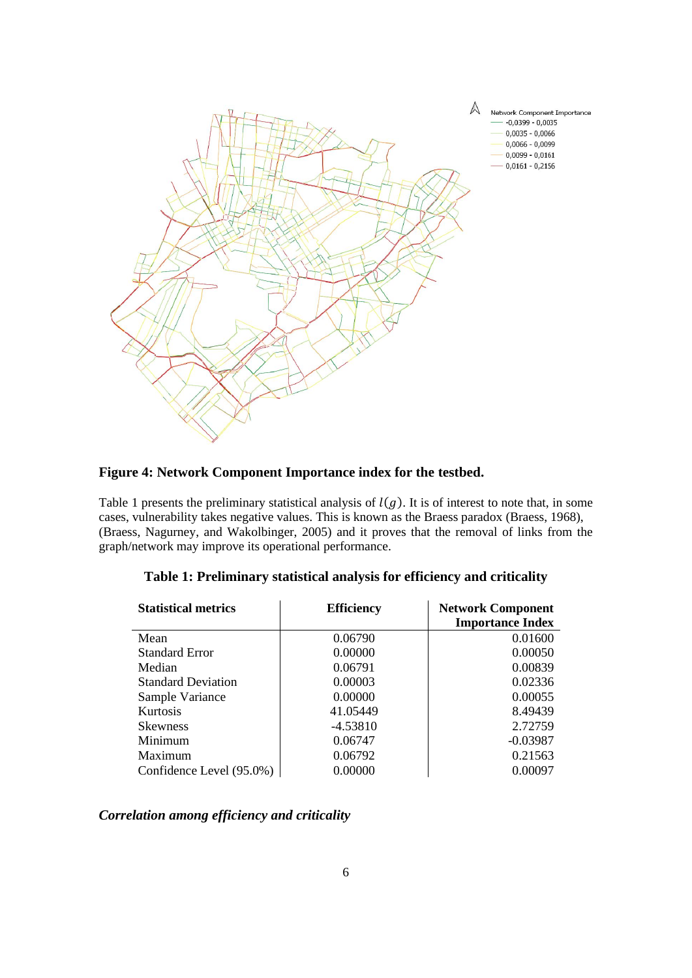

# **Figure 4: Network Component Importance index for the testbed.**

Table 1 presents the preliminary statistical analysis of  $l(g)$ . It is of interest to note that, in some cases, vulnerability takes negative values. This is known as the Braess paradox (Braess, 1968), (Braess, Nagurney, and Wakolbinger, 2005) and it proves that the removal of links from the graph/network may improve its operational performance.

| <b>Statistical metrics</b> | <b>Efficiency</b> | <b>Network Component</b> |
|----------------------------|-------------------|--------------------------|
|                            |                   | <b>Importance Index</b>  |
| Mean                       | 0.06790           | 0.01600                  |
| <b>Standard Error</b>      | 0.00000           | 0.00050                  |
| Median                     | 0.06791           | 0.00839                  |
| <b>Standard Deviation</b>  | 0.00003           | 0.02336                  |
| Sample Variance            | 0.00000           | 0.00055                  |
| <b>Kurtosis</b>            | 41.05449          | 8.49439                  |
| <b>Skewness</b>            | $-4.53810$        | 2.72759                  |
| Minimum                    | 0.06747           | $-0.03987$               |
| Maximum                    | 0.06792           | 0.21563                  |
| Confidence Level (95.0%)   | 0.00000           | 0.00097                  |

#### **Table 1: Preliminary statistical analysis for efficiency and criticality**

## *Correlation among efficiency and criticality*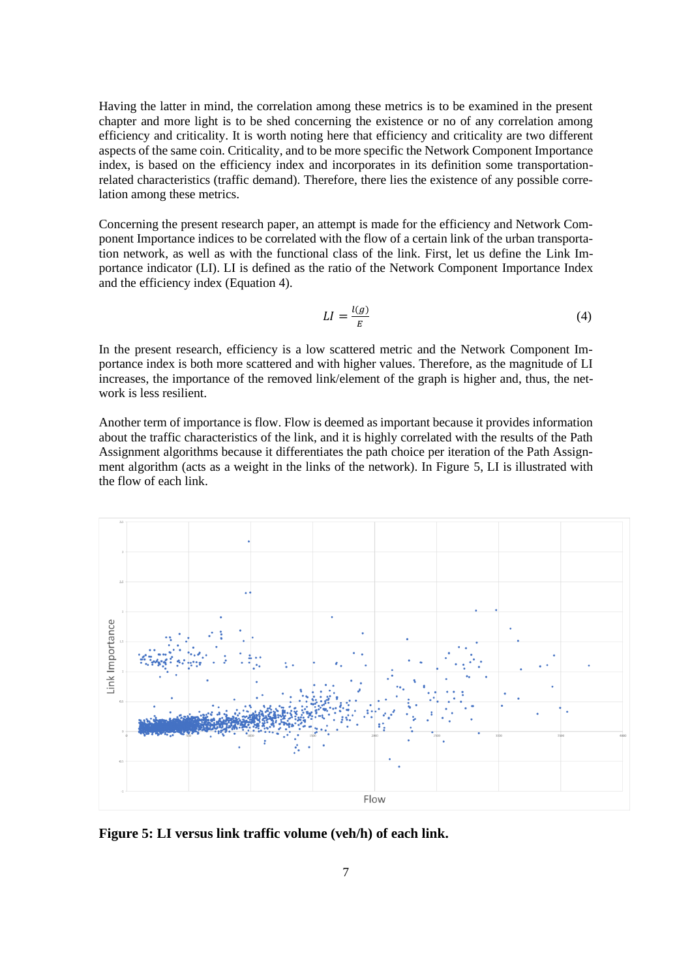Having the latter in mind, the correlation among these metrics is to be examined in the present chapter and more light is to be shed concerning the existence or no of any correlation among efficiency and criticality. It is worth noting here that efficiency and criticality are two different aspects of the same coin. Criticality, and to be more specific the Network Component Importance index, is based on the efficiency index and incorporates in its definition some transportationrelated characteristics (traffic demand). Therefore, there lies the existence of any possible correlation among these metrics.

Concerning the present research paper, an attempt is made for the efficiency and Network Component Importance indices to be correlated with the flow of a certain link of the urban transportation network, as well as with the functional class of the link. First, let us define the Link Importance indicator (LI). LI is defined as the ratio of the Network Component Importance Index and the efficiency index (Equation 4).

$$
LI = \frac{l(g)}{E} \tag{4}
$$

In the present research, efficiency is a low scattered metric and the Network Component Importance index is both more scattered and with higher values. Therefore, as the magnitude of LI increases, the importance of the removed link/element of the graph is higher and, thus, the network is less resilient.

Another term of importance is flow. Flow is deemed as important because it provides information about the traffic characteristics of the link, and it is highly correlated with the results of the Path Assignment algorithms because it differentiates the path choice per iteration of the Path Assignment algorithm (acts as a weight in the links of the network). In Figure 5, LI is illustrated with the flow of each link.



**Figure 5: LI versus link traffic volume (veh/h) of each link.**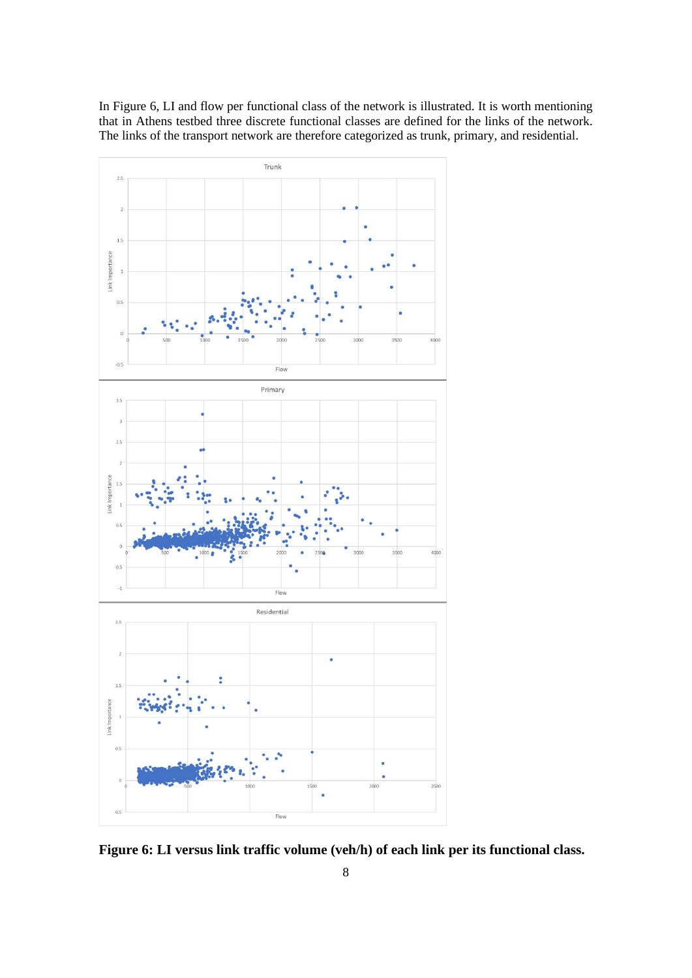

In Figure 6, LI and flow per functional class of the network is illustrated. It is worth mentioning that in Athens testbed three discrete functional classes are defined for the links of the network. The links of the transport network are therefore categorized as trunk, primary, and residential.

**Figure 6: LI versus link traffic volume (veh/h) of each link per its functional class.**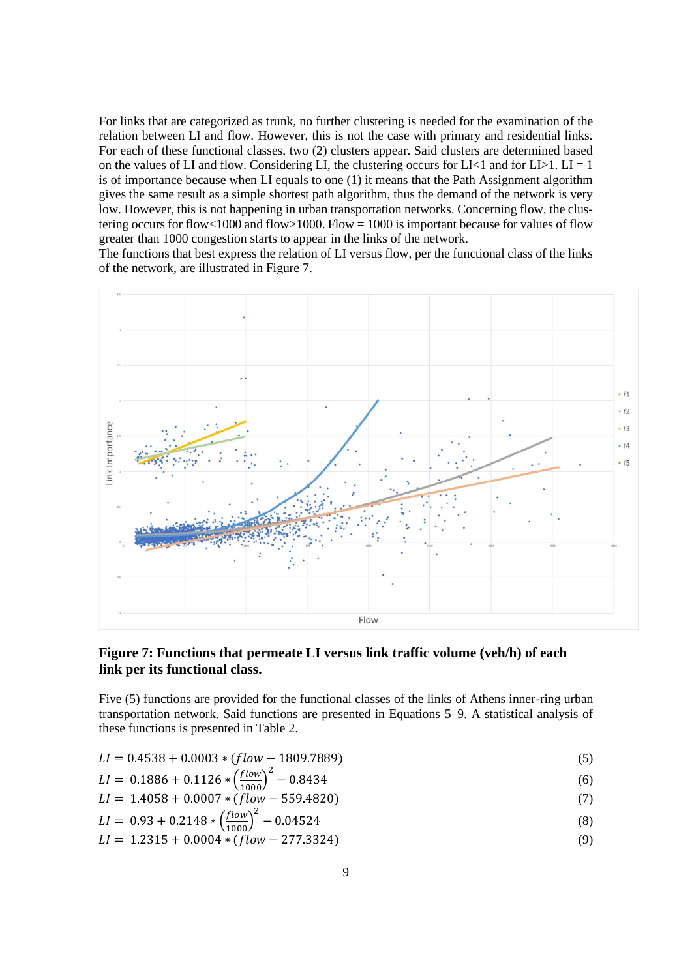For links that are categorized as trunk, no further clustering is needed for the examination of the relation between LI and flow. However, this is not the case with primary and residential links. For each of these functional classes, two (2) clusters appear. Said clusters are determined based on the values of LI and flow. Considering LI, the clustering occurs for LI $\lt 1$  and for LI $\gt 1$ . LI = 1 is of importance because when LI equals to one (1) it means that the Path Assignment algorithm gives the same result as a simple shortest path algorithm, thus the demand of the network is very low. However, this is not happening in urban transportation networks. Concerning flow, the clustering occurs for flow<1000 and flow>1000. Flow = 1000 is important because for values of flow greater than 1000 congestion starts to appear in the links of the network.

The functions that best express the relation of LI versus flow, per the functional class of the links of the network, are illustrated in Figure 7.



## **Figure 7: Functions that permeate LI versus link traffic volume (veh/h) of each link per its functional class.**

Five (5) functions are provided for the functional classes of the links of Athens inner-ring urban transportation network. Said functions are presented in Equations 5–9. A statistical analysis of these functions is presented in Table 2.

$$
LI = 0.4538 + 0.0003 * (flow - 1809.7889)
$$
\n
$$
(5)
$$

$$
LI = 0.1886 + 0.1126 * \left(\frac{flow}{1000}\right)^2 - 0.8434
$$
 (6)

$$
LI = 1.4058 + 0.0007 * (\hat{f}low - 559.4820)
$$
 (7)

$$
LI = 0.93 + 0.2148 * \left(\frac{flow}{1000}\right)^2 - 0.04524
$$
 (8)

$$
LI = 1.2315 + 0.0004 * (flow - 277.3324)
$$
\n(9)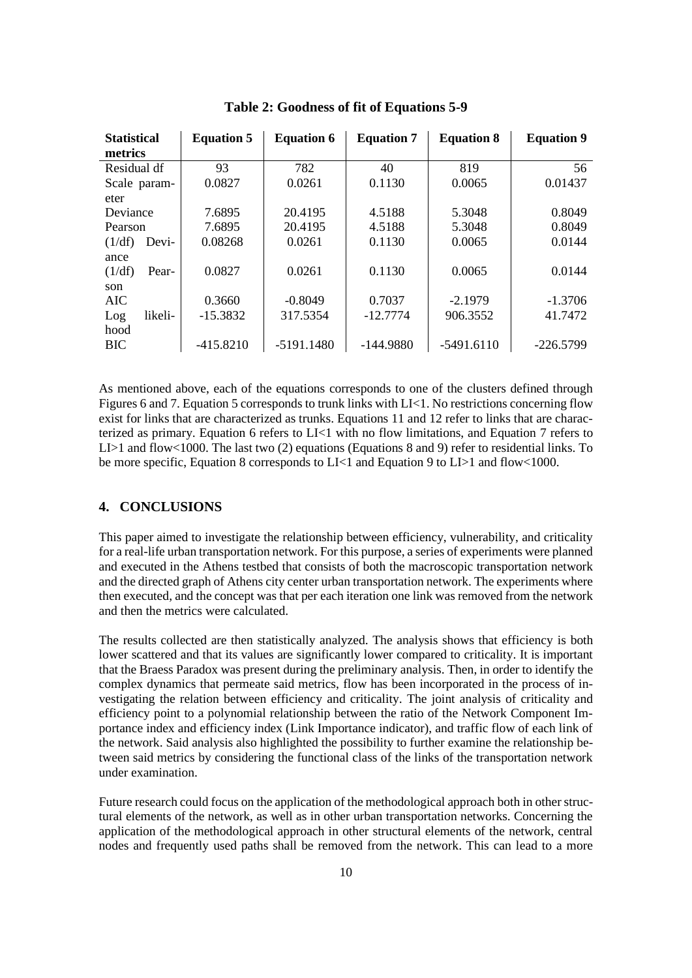| <b>Statistical</b><br>metrics | <b>Equation 5</b> | <b>Equation 6</b> | <b>Equation 7</b> | <b>Equation 8</b> | <b>Equation 9</b> |
|-------------------------------|-------------------|-------------------|-------------------|-------------------|-------------------|
| Residual df                   | 93                | 782               | 40                | 819               | 56                |
| Scale param-                  | 0.0827            | 0.0261            | 0.1130            | 0.0065            | 0.01437           |
| eter                          |                   |                   |                   |                   |                   |
| Deviance                      | 7.6895            | 20.4195           | 4.5188            | 5.3048            | 0.8049            |
| Pearson                       | 7.6895            | 20.4195           | 4.5188            | 5.3048            | 0.8049            |
| (1/df)<br>Devi-               | 0.08268           | 0.0261            | 0.1130            | 0.0065            | 0.0144            |
| ance                          |                   |                   |                   |                   |                   |
| (1/df)<br>Pear-               | 0.0827            | 0.0261            | 0.1130            | 0.0065            | 0.0144            |
| son                           |                   |                   |                   |                   |                   |
| <b>AIC</b>                    | 0.3660            | $-0.8049$         | 0.7037            | $-2.1979$         | $-1.3706$         |
| likeli-<br>Log                | $-15.3832$        | 317.5354          | $-12.7774$        | 906.3552          | 41.7472           |
| hood                          |                   |                   |                   |                   |                   |
| <b>BIC</b>                    | $-415.8210$       | $-5191.1480$      | $-144.9880$       | $-5491.6110$      | $-226.5799$       |

**Table 2: Goodness of fit of Equations 5-9**

As mentioned above, each of the equations corresponds to one of the clusters defined through Figures 6 and 7. Equation 5 corresponds to trunk links with LI<1. No restrictions concerning flow exist for links that are characterized as trunks. Equations 11 and 12 refer to links that are characterized as primary. Equation 6 refers to LI<1 with no flow limitations, and Equation 7 refers to LI>1 and flow<1000. The last two (2) equations (Equations 8 and 9) refer to residential links. To be more specific, Equation 8 corresponds to LI<1 and Equation 9 to LI>1 and flow<1000.

#### **4. CONCLUSIONS**

This paper aimed to investigate the relationship between efficiency, vulnerability, and criticality for a real-life urban transportation network. For this purpose, a series of experiments were planned and executed in the Athens testbed that consists of both the macroscopic transportation network and the directed graph of Athens city center urban transportation network. The experiments where then executed, and the concept was that per each iteration one link was removed from the network and then the metrics were calculated.

The results collected are then statistically analyzed. The analysis shows that efficiency is both lower scattered and that its values are significantly lower compared to criticality. It is important that the Braess Paradox was present during the preliminary analysis. Then, in order to identify the complex dynamics that permeate said metrics, flow has been incorporated in the process of investigating the relation between efficiency and criticality. The joint analysis of criticality and efficiency point to a polynomial relationship between the ratio of the Network Component Importance index and efficiency index (Link Importance indicator), and traffic flow of each link of the network. Said analysis also highlighted the possibility to further examine the relationship between said metrics by considering the functional class of the links of the transportation network under examination.

Future research could focus on the application of the methodological approach both in other structural elements of the network, as well as in other urban transportation networks. Concerning the application of the methodological approach in other structural elements of the network, central nodes and frequently used paths shall be removed from the network. This can lead to a more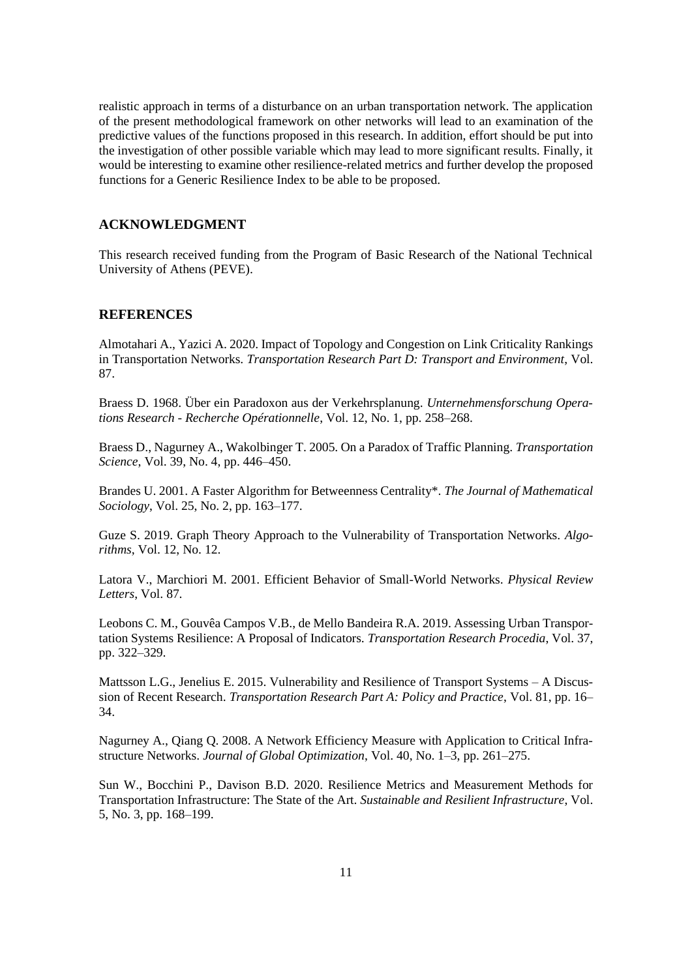realistic approach in terms of a disturbance on an urban transportation network. The application of the present methodological framework on other networks will lead to an examination of the predictive values of the functions proposed in this research. In addition, effort should be put into the investigation of other possible variable which may lead to more significant results. Finally, it would be interesting to examine other resilience-related metrics and further develop the proposed functions for a Generic Resilience Index to be able to be proposed.

#### **ACKNOWLEDGMENT**

This research received funding from the Program of Basic Research of the National Technical University of Athens (PEVE).

## **REFERENCES**

Almotahari A., Yazici A. 2020. Impact of Topology and Congestion on Link Criticality Rankings in Transportation Networks. *Transportation Research Part D: Transport and Environment*, Vol. 87.

Braess D. 1968. Über ein Paradoxon aus der Verkehrsplanung. *Unternehmensforschung Operations Research - Recherche Opérationnelle*, Vol. 12, No. 1, pp. 258–268.

Braess D., Nagurney A., Wakolbinger T. 2005. On a Paradox of Traffic Planning. *Transportation Science*, Vol. 39, No. 4, pp. 446–450.

Brandes U. 2001. A Faster Algorithm for Betweenness Centrality\*. *The Journal of Mathematical Sociology*, Vol. 25, No. 2, pp. 163–177.

Guze S. 2019. Graph Theory Approach to the Vulnerability of Transportation Networks. *Algorithms*, Vol. 12, No. 12.

Latora V., Marchiori M. 2001. Efficient Behavior of Small-World Networks. *Physical Review Letters*, Vol. 87.

Leobons C. M., Gouvêa Campos V.B., de Mello Bandeira R.A. 2019. Assessing Urban Transportation Systems Resilience: A Proposal of Indicators. *Transportation Research Procedia*, Vol. 37, pp. 322–329.

Mattsson L.G., Jenelius E. 2015. Vulnerability and Resilience of Transport Systems – A Discussion of Recent Research. *Transportation Research Part A: Policy and Practice*, Vol. 81, pp. 16– 34.

Nagurney A., Qiang Q. 2008. A Network Efficiency Measure with Application to Critical Infrastructure Networks. *Journal of Global Optimization*, Vol. 40, No. 1–3, pp. 261–275.

Sun W., Bocchini P., Davison B.D. 2020. Resilience Metrics and Measurement Methods for Transportation Infrastructure: The State of the Art. *Sustainable and Resilient Infrastructure*, Vol. 5, No. 3, pp. 168–199.